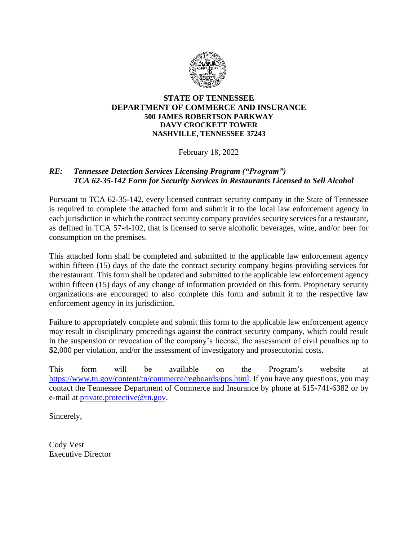

## **STATE OF TENNESSEE DEPARTMENT OF COMMERCE AND INSURANCE 500 JAMES ROBERTSON PARKWAY DAVY CROCKETT TOWER NASHVILLE, TENNESSEE 37243**

February 18, 2022

## *RE: Tennessee Detection Services Licensing Program ("Program") TCA 62-35-142 Form for Security Services in Restaurants Licensed to Sell Alcohol*

Pursuant to TCA 62-35-142, every licensed contract security company in the State of Tennessee is required to complete the attached form and submit it to the local law enforcement agency in each jurisdiction in which the contract security company provides security services for a restaurant, as defined in TCA 57-4-102, that is licensed to serve alcoholic beverages, wine, and/or beer for consumption on the premises.

This attached form shall be completed and submitted to the applicable law enforcement agency within fifteen (15) days of the date the contract security company begins providing services for the restaurant. This form shall be updated and submitted to the applicable law enforcement agency within fifteen (15) days of any change of information provided on this form. Proprietary security organizations are encouraged to also complete this form and submit it to the respective law enforcement agency in its jurisdiction.

Failure to appropriately complete and submit this form to the applicable law enforcement agency may result in disciplinary proceedings against the contract security company, which could result in the suspension or revocation of the company's license, the assessment of civil penalties up to \$2,000 per violation, and/or the assessment of investigatory and prosecutorial costs.

This form will be available on the Program's website at [https://www.tn.gov/content/tn/commerce/regboards/pps.html.](https://www.tn.gov/content/tn/commerce/regboards/pps.html) If you have any questions, you may contact the Tennessee Department of Commerce and Insurance by phone at 615-741-6382 or by e-mail at *private.protective@tn.gov.* 

Sincerely,

Cody Vest Executive Director